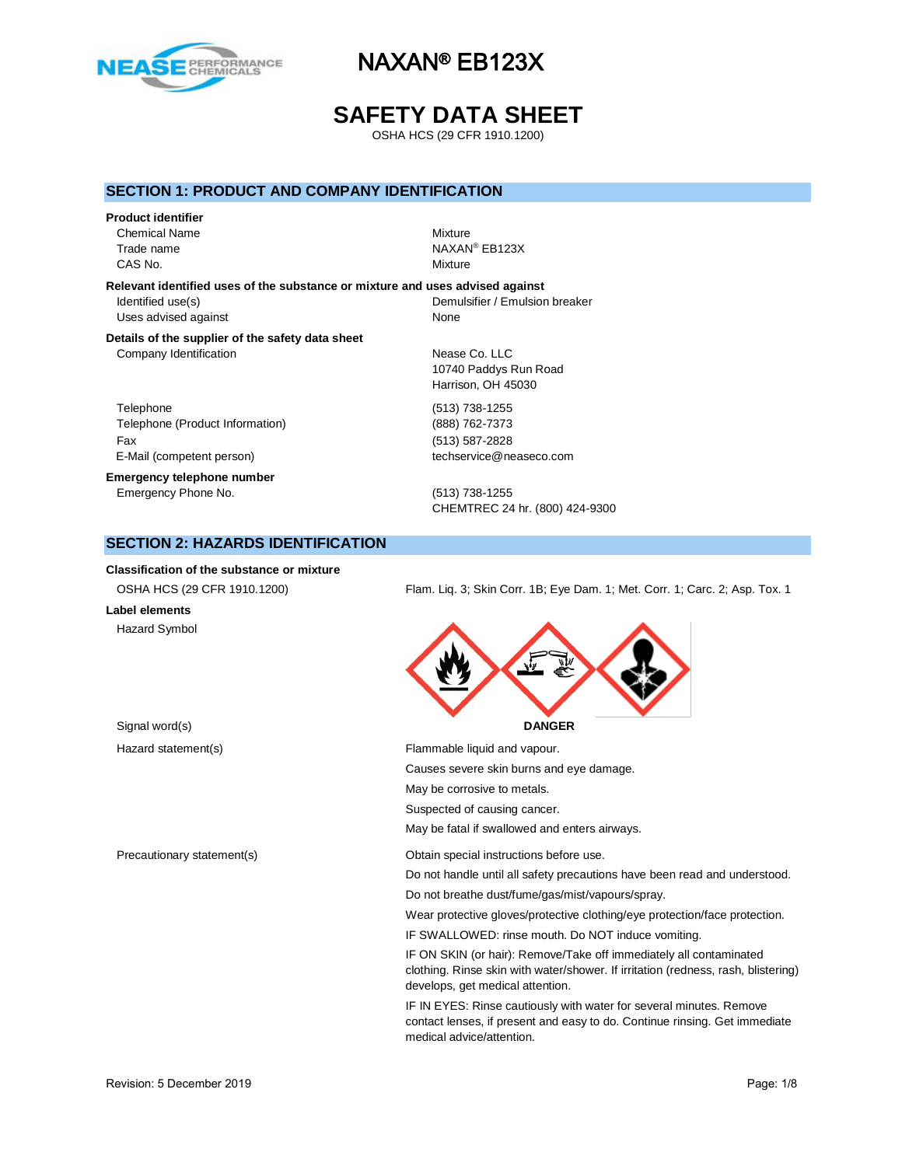

# **SAFETY DATA SHEET**

OSHA HCS (29 CFR 1910.1200)

### **SECTION 1: PRODUCT AND COMPANY IDENTIFICATION**

#### **Product identifier**

Chemical Name Mixture Trade name CAS No. **Mixture** 

NAXAN® EB123X

**Relevant identified uses of the substance or mixture and uses advised against** Identified use(s) local control of the Demulsifier / Emulsion breaker Uses advised against None

CHEMTREC 24 hr. (800) 424-9300

10740 Paddys Run Road Harrison, OH 45030

#### **Details of the supplier of the safety data sheet** Company Identification Nease Co. LLC

Telephone (513) 738-1255 Telephone (Product Information) (888) 762-7373 Fax (513) 587-2828 E-Mail (competent person) example the techservice@neaseco.com

**Emergency telephone number** Emergency Phone No. (513) 738-1255

# **SECTION 2: HAZARDS IDENTIFICATION**

#### **Classification of the substance or mixture**

| OSHA HCS (29 CFR 1910.1200) |  |  |
|-----------------------------|--|--|

# **Label elements**

Hazard Symbol

Flam. Liq. 3; Skin Corr. 1B; Eye Dam. 1; Met. Corr. 1; Carc. 2; Asp. Tox. 1



Hazard statement(s) example a Flammable liquid and vapour. Causes severe skin burns and eye damage. May be corrosive to metals. Suspected of causing cancer. May be fatal if swallowed and enters airways. Precautionary statement(s) Obtain special instructions before use. Do not handle until all safety precautions have been read and understood. Do not breathe dust/fume/gas/mist/vapours/spray. Wear protective gloves/protective clothing/eye protection/face protection. IF SWALLOWED: rinse mouth. Do NOT induce vomiting.

> IF ON SKIN (or hair): Remove/Take off immediately all contaminated clothing. Rinse skin with water/shower. If irritation (redness, rash, blistering) develops, get medical attention.

IF IN EYES: Rinse cautiously with water for several minutes. Remove contact lenses, if present and easy to do. Continue rinsing. Get immediate medical advice/attention.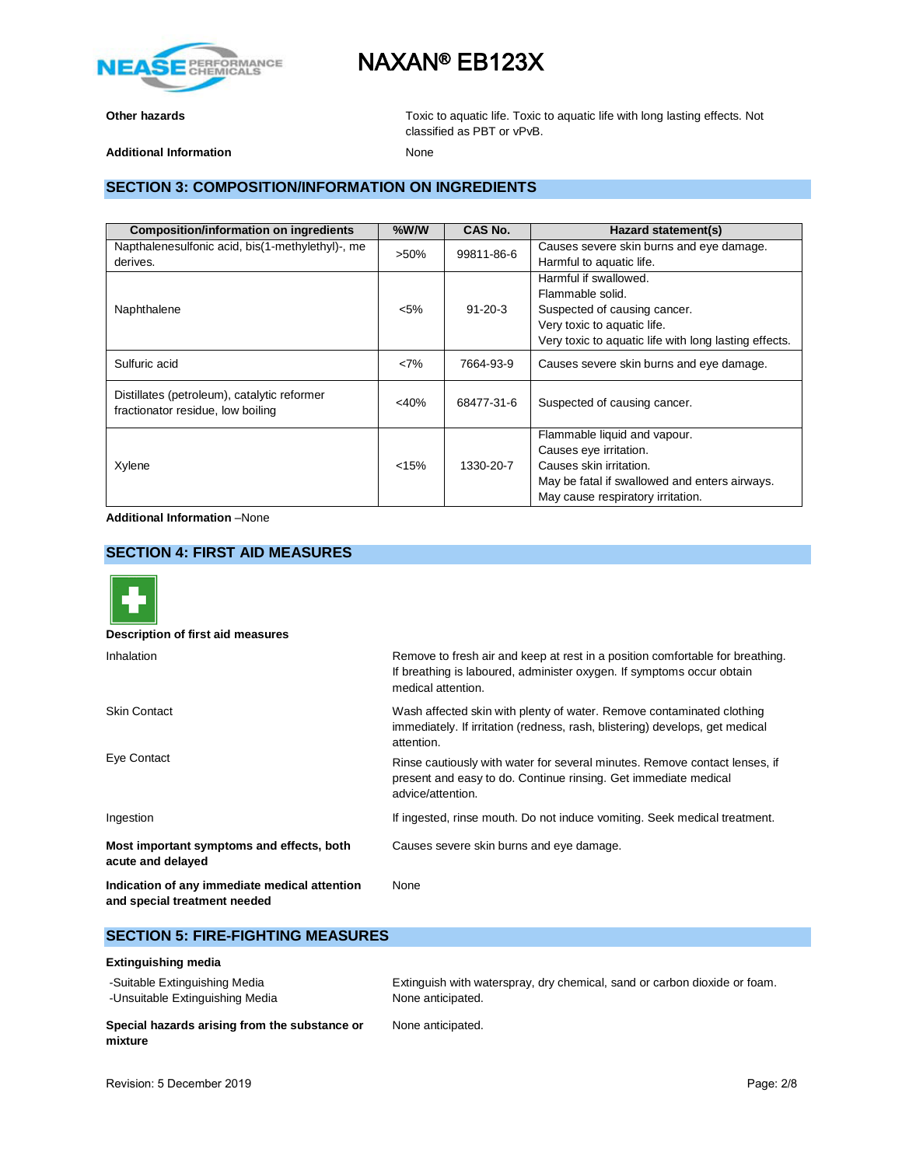

**Other hazards Other hazards Toxic to aquatic life. Toxic to aquatic life with long lasting effects. Not** classified as PBT or vPvB.

Additional Information **None** 

## **SECTION 3: COMPOSITION/INFORMATION ON INGREDIENTS**

| <b>Composition/information on ingredients</b>                                    | $%$ W/W               | CAS No.       | Hazard statement(s)                                   |
|----------------------------------------------------------------------------------|-----------------------|---------------|-------------------------------------------------------|
| Napthalenesulfonic acid, bis(1-methylethyl)-, me                                 | 99811-86-6<br>$>50\%$ |               | Causes severe skin burns and eye damage.              |
| derives.                                                                         |                       |               | Harmful to aquatic life.                              |
|                                                                                  |                       |               | Harmful if swallowed.                                 |
|                                                                                  |                       |               | Flammable solid.                                      |
| Naphthalene                                                                      | $< 5\%$               | $91 - 20 - 3$ | Suspected of causing cancer.                          |
|                                                                                  |                       |               | Very toxic to aquatic life.                           |
|                                                                                  |                       |               | Very toxic to aquatic life with long lasting effects. |
| Sulfuric acid                                                                    | <7%                   | 7664-93-9     | Causes severe skin burns and eye damage.              |
| Distillates (petroleum), catalytic reformer<br>fractionator residue, low boiling | $<$ 40%               | 68477-31-6    | Suspected of causing cancer.                          |
|                                                                                  |                       |               | Flammable liquid and vapour.                          |
|                                                                                  |                       |               | Causes eye irritation.                                |
| Xylene                                                                           | < 15%                 | 1330-20-7     | Causes skin irritation.                               |
|                                                                                  |                       |               | May be fatal if swallowed and enters airways.         |
|                                                                                  |                       |               | May cause respiratory irritation.                     |

**Additional Information** –None

## **SECTION 4: FIRST AID MEASURES**



**Description of first aid measures**

| Inhalation                                                                    | Remove to fresh air and keep at rest in a position comfortable for breathing.<br>If breathing is laboured, administer oxygen. If symptoms occur obtain<br>medical attention. |  |  |
|-------------------------------------------------------------------------------|------------------------------------------------------------------------------------------------------------------------------------------------------------------------------|--|--|
| <b>Skin Contact</b>                                                           | Wash affected skin with plenty of water. Remove contaminated clothing<br>immediately. If irritation (redness, rash, blistering) develops, get medical<br>attention.          |  |  |
| Eye Contact                                                                   | Rinse cautiously with water for several minutes. Remove contact lenses, if<br>present and easy to do. Continue rinsing. Get immediate medical<br>advice/attention.           |  |  |
| Ingestion                                                                     | If ingested, rinse mouth. Do not induce vomiting. Seek medical treatment.                                                                                                    |  |  |
| Most important symptoms and effects, both<br>acute and delayed                | Causes severe skin burns and eye damage.                                                                                                                                     |  |  |
| Indication of any immediate medical attention<br>and special treatment needed | None                                                                                                                                                                         |  |  |

## **SECTION 5: FIRE-FIGHTING MEASURES**

### **Extinguishing media**

| -Suitable Extinguishing Media                            | Extinguish with waterspray, dry chemical, sand or carbon dioxide or foam. |
|----------------------------------------------------------|---------------------------------------------------------------------------|
| -Unsuitable Extinguishing Media                          | None anticipated.                                                         |
| Special hazards arising from the substance or<br>mixture | None anticipated.                                                         |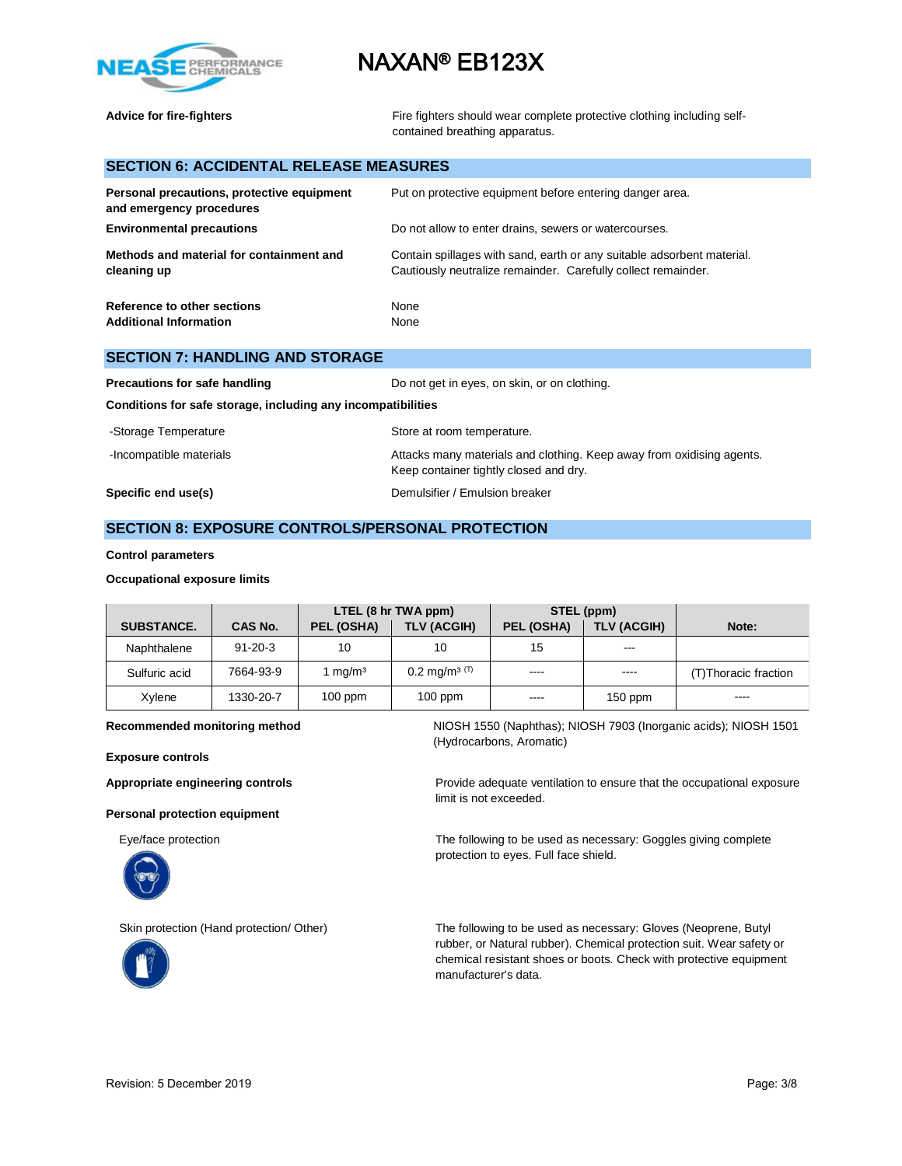



Advice for fire-fighters **Fighters** Fire fighters should wear complete protective clothing including selfcontained breathing apparatus.

## **SECTION 6: ACCIDENTAL RELEASE MEASURES**

| Personal precautions, protective equipment<br>and emergency procedures | Put on protective equipment before entering danger area.                                                                                |
|------------------------------------------------------------------------|-----------------------------------------------------------------------------------------------------------------------------------------|
| <b>Environmental precautions</b>                                       | Do not allow to enter drains, sewers or watercourses.                                                                                   |
| Methods and material for containment and<br>cleaning up                | Contain spillages with sand, earth or any suitable adsorbent material.<br>Cautiously neutralize remainder. Carefully collect remainder. |
| Reference to other sections<br><b>Additional Information</b>           | None<br>None                                                                                                                            |

### **SECTION 7: HANDLING AND STORAGE**

| Precautions for safe handling                                | Do not get in eyes, on skin, or on clothing.                                                                    |
|--------------------------------------------------------------|-----------------------------------------------------------------------------------------------------------------|
| Conditions for safe storage, including any incompatibilities |                                                                                                                 |
| -Storage Temperature                                         | Store at room temperature.                                                                                      |
| -Incompatible materials                                      | Attacks many materials and clothing. Keep away from oxidising agents.<br>Keep container tightly closed and dry. |
| Specific end use(s)                                          | Demulsifier / Emulsion breaker                                                                                  |

### **SECTION 8: EXPOSURE CONTROLS/PERSONAL PROTECTION**

#### **Control parameters**

#### **Occupational exposure limits**

|                   |                | LTEL (8 hr TWA ppm) |                          | STEL (ppm) |                    |                       |
|-------------------|----------------|---------------------|--------------------------|------------|--------------------|-----------------------|
| <b>SUBSTANCE.</b> | <b>CAS No.</b> | PEL (OSHA)          | TLV (ACGIH)              | PEL (OSHA) | <b>TLV (ACGIH)</b> | Note:                 |
| Naphthalene       | $91 - 20 - 3$  | 10                  | 10                       | 15         | ---                |                       |
| Sulfuric acid     | 7664-93-9      | mq/m <sup>3</sup>   | $0.2 \text{ mg/m}^3$ (T) | $- - - -$  | $- - - -$          | (T) Thoracic fraction |
| Xylene            | 1330-20-7      | $100$ ppm           | $100$ ppm                | $- - - -$  | $150$ ppm          | ----                  |

**Exposure controls**

**Personal protection equipment**





**Recommended monitoring method** NIOSH 1550 (Naphthas); NIOSH 7903 (Inorganic acids); NIOSH 1501 (Hydrocarbons, Aromatic)

Appropriate engineering controls **Provide adequate ventilation** to ensure that the occupational exposure limit is not exceeded.

Eye/face protection The following to be used as necessary: Goggles giving complete protection to eyes. Full face shield.

Skin protection (Hand protection/ Other) The following to be used as necessary: Gloves (Neoprene, Butyl rubber, or Natural rubber). Chemical protection suit. Wear safety or chemical resistant shoes or boots. Check with protective equipment manufacturer's data.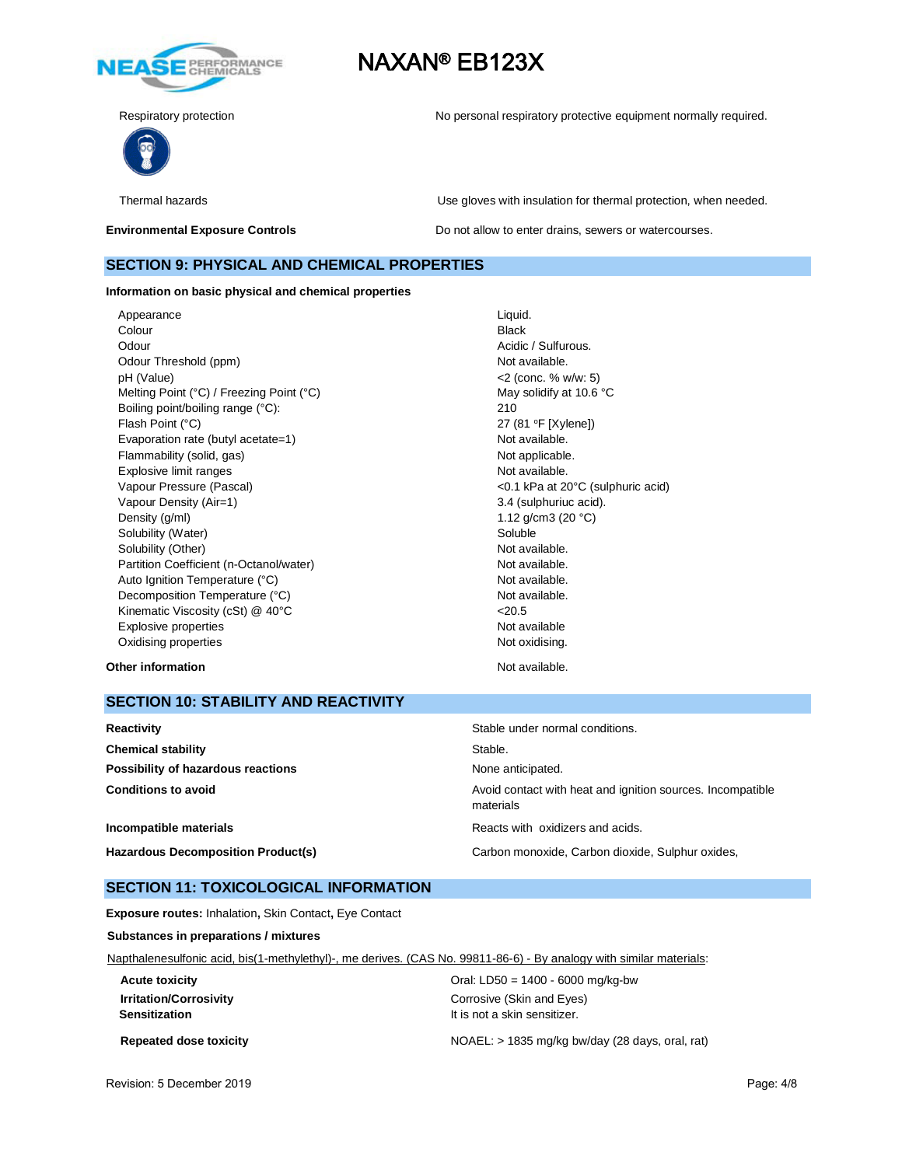



Respiratory protection **No personal respiratory protective equipment normally required.** 

Thermal hazards Use gloves with insulation for thermal protection, when needed.

**Environmental Exposure Controls Exposure Controls Do not allow to enter drains, sewers or watercourses.** 

### **SECTION 9: PHYSICAL AND CHEMICAL PROPERTIES**

**Information on basic physical and chemical properties**

Appearance Liquid. **Colour** Black Odour **Acidic / Sulfurous.** Acidic / Sulfurous. Odour Threshold (ppm) Not available. pH (Value) <2 (conc. % w/w: 5) Melting Point (°C) / Freezing Point (°C) May solidify at 10.6 °C Boiling point/boiling range (°C): 210 Flash Point (°C) 27 (81 °F [Xylene]) Evaporation rate (butyl acetate=1) Not available. Flammability (solid, gas) Not applicable. Explosive limit ranges **Not available**. Vapour Pressure (Pascal) <0.1 kPa at 20°C (sulphuric acid) Vapour Density (Air=1) 3.4 (sulphuriuc acid). Density  $(g/m)$  1.12 g/cm3 (20 °C) Solubility (Water) Soluble Soluble Solubility (Other) Not available. Partition Coefficient (n-Octanol/water) Not available. Auto Ignition Temperature (°C) and the control of the Not available. Decomposition Temperature (°C) Not available. Kinematic Viscosity (cSt) @ 40°C <20.5 Explosive properties Not available Oxidising properties Not oxidising.

#### **Other information** Not available.

### **SECTION 10: STABILITY AND REACTIVITY**

| Reactivity                                | Stable under normal conditions.                                         |
|-------------------------------------------|-------------------------------------------------------------------------|
| <b>Chemical stability</b>                 | Stable.                                                                 |
| Possibility of hazardous reactions        | None anticipated.                                                       |
| <b>Conditions to avoid</b>                | Avoid contact with heat and ignition sources. Incompatible<br>materials |
| Incompatible materials                    | Reacts with oxidizers and acids.                                        |
| <b>Hazardous Decomposition Product(s)</b> | Carbon monoxide, Carbon dioxide, Sulphur oxides,                        |

### **SECTION 11: TOXICOLOGICAL INFORMATION**

**Exposure routes:** Inhalation**,** Skin Contact**,** Eye Contact

**Substances in preparations / mixtures**

Napthalenesulfonic acid, bis(1-methylethyl)-, me derives. (CAS No. 99811-86-6) - By analogy with similar materials:

**Acute toxicity Acute toxicity CHECO EXECO EXECO EXECO EXECO EXECO EXECO EXECO EXECO EXECO EXECO EXECO EXECO EXECO EXECO EXECO EXECO EXECO EXECO EXECO EXECO EXECO EXECO EXECO EXECO EXECO EXECO EXECO EXECO EXECO EXECO E Irritation/Corrosivity Company Constructs** Corrosive (Skin and Eyes) **Sensitization It is not a skin sensitizer.** 

**Repeated dose toxicity** NOAEL: > 1835 mg/kg bw/day (28 days, oral, rat)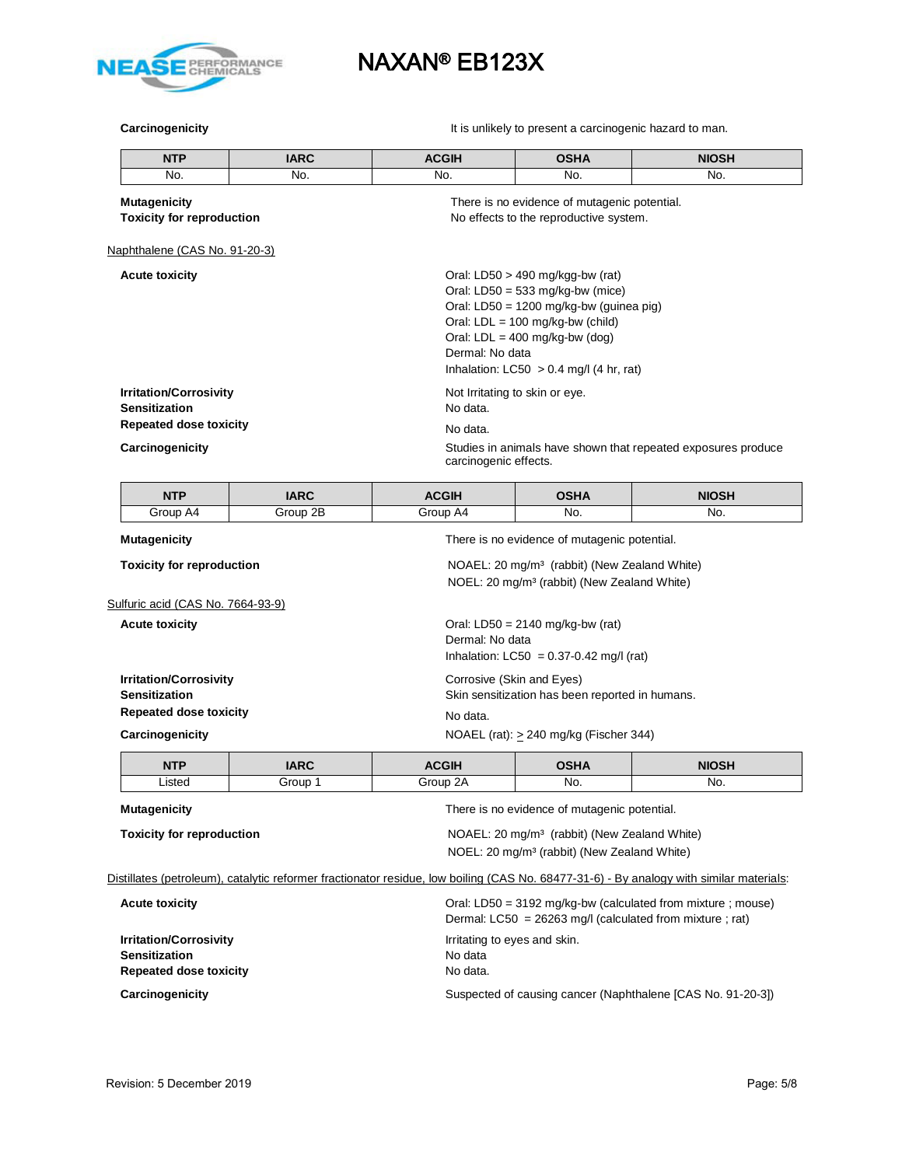

**Carcinogenicity Carcinogenicity It is unlikely to present a carcinogenic hazard to man.** 

|                                                                                        | <b>NTP</b>                    | <b>IARC</b>                                                                                                         | <b>ACGIH</b>                                           | <b>OSHA</b>                                                                                                                                                                                                                                | <b>NIOSH</b>                                                  |  |
|----------------------------------------------------------------------------------------|-------------------------------|---------------------------------------------------------------------------------------------------------------------|--------------------------------------------------------|--------------------------------------------------------------------------------------------------------------------------------------------------------------------------------------------------------------------------------------------|---------------------------------------------------------------|--|
|                                                                                        | No.                           | No.                                                                                                                 | No.                                                    | No.                                                                                                                                                                                                                                        | No.                                                           |  |
| <b>Mutagenicity</b><br><b>Toxicity for reproduction</b>                                |                               | There is no evidence of mutagenic potential.<br>No effects to the reproductive system.                              |                                                        |                                                                                                                                                                                                                                            |                                                               |  |
|                                                                                        | Naphthalene (CAS No. 91-20-3) |                                                                                                                     |                                                        |                                                                                                                                                                                                                                            |                                                               |  |
|                                                                                        | <b>Acute toxicity</b>         |                                                                                                                     | Dermal: No data                                        | Oral: LD50 $>$ 490 mg/kgg-bw (rat)<br>Oral: $LD50 = 533$ mg/kg-bw (mice)<br>Oral: LD50 = 1200 mg/kg-bw (guinea pig)<br>Oral: $LDL = 100$ mg/kg-bw (child)<br>Oral: $LDL = 400$ mg/kg-bw (dog)<br>Inhalation: $LC50 > 0.4$ mg/l (4 hr, rat) |                                                               |  |
| <b>Irritation/Corrosivity</b><br><b>Sensitization</b><br><b>Repeated dose toxicity</b> |                               |                                                                                                                     | Not Irritating to skin or eye.<br>No data.<br>No data. |                                                                                                                                                                                                                                            |                                                               |  |
|                                                                                        |                               |                                                                                                                     |                                                        |                                                                                                                                                                                                                                            |                                                               |  |
|                                                                                        | Carcinogenicity               |                                                                                                                     | carcinogenic effects.                                  |                                                                                                                                                                                                                                            | Studies in animals have shown that repeated exposures produce |  |
|                                                                                        | <b>NTP</b>                    | <b>IARC</b>                                                                                                         | <b>ACGIH</b>                                           | <b>OSHA</b>                                                                                                                                                                                                                                | <b>NIOSH</b>                                                  |  |
|                                                                                        | Group A4                      | Group $2\overline{B}$                                                                                               | Group A4                                               | No.                                                                                                                                                                                                                                        | No.                                                           |  |
| <b>Mutagenicity</b>                                                                    |                               | There is no evidence of mutagenic potential.                                                                        |                                                        |                                                                                                                                                                                                                                            |                                                               |  |
| <b>Toxicity for reproduction</b>                                                       |                               | NOAEL: 20 mg/m <sup>3</sup> (rabbit) (New Zealand White)<br>NOEL: 20 mg/m <sup>3</sup> (rabbit) (New Zealand White) |                                                        |                                                                                                                                                                                                                                            |                                                               |  |

Sulfuric acid (CAS No. 7664-93-9)

**Acute toxicity Acute toxicity Oral:** LD50 = 2140 mg/kg-bw (rat)

|                                                       | Dermal: No data<br>Inhalation: $LCS0 = 0.37 - 0.42$ mg/l (rat)               |
|-------------------------------------------------------|------------------------------------------------------------------------------|
| <b>Irritation/Corrosivity</b><br><b>Sensitization</b> | Corrosive (Skin and Eyes)<br>Skin sensitization has been reported in humans. |
| <b>Repeated dose toxicity</b>                         | No data.                                                                     |
| Carcinogenicity                                       | NOAEL (rat): $> 240$ mg/kg (Fischer 344)                                     |

| <b>NTP</b>                                                                                   | <b>IARC</b> | <b>ACGIH</b> | <b>OSHA</b>                                  | <b>NIOSH</b> |
|----------------------------------------------------------------------------------------------|-------------|--------------|----------------------------------------------|--------------|
| Listed                                                                                       | Group 1     | Group 2A     | No.                                          | No.          |
| Mutagenicity                                                                                 |             |              | There is no evidence of mutagenic potential. |              |
| NOAEL: 20 mg/m <sup>3</sup> (rabbit) (New Zealand White)<br><b>Toxicity for reproduction</b> |             |              |                                              |              |

NOEL: 20 mg/m³ (rabbit) (New Zealand White)

Distillates (petroleum), catalytic reformer fractionator residue, low boiling (CAS No. 68477-31-6) - By analogy with similar materials:

| <b>Acute toxicity</b>                                                                  | Oral: LD50 = 3192 mg/kg-bw (calculated from mixture ; mouse)<br>Dermal: $LC50 = 26263$ mg/l (calculated from mixture; rat) |
|----------------------------------------------------------------------------------------|----------------------------------------------------------------------------------------------------------------------------|
| <b>Irritation/Corrosivity</b><br><b>Sensitization</b><br><b>Repeated dose toxicity</b> | Irritating to eyes and skin.<br>No data<br>No data.                                                                        |
| Carcinogenicity                                                                        | Suspected of causing cancer (Naphthalene [CAS No. 91-20-3])                                                                |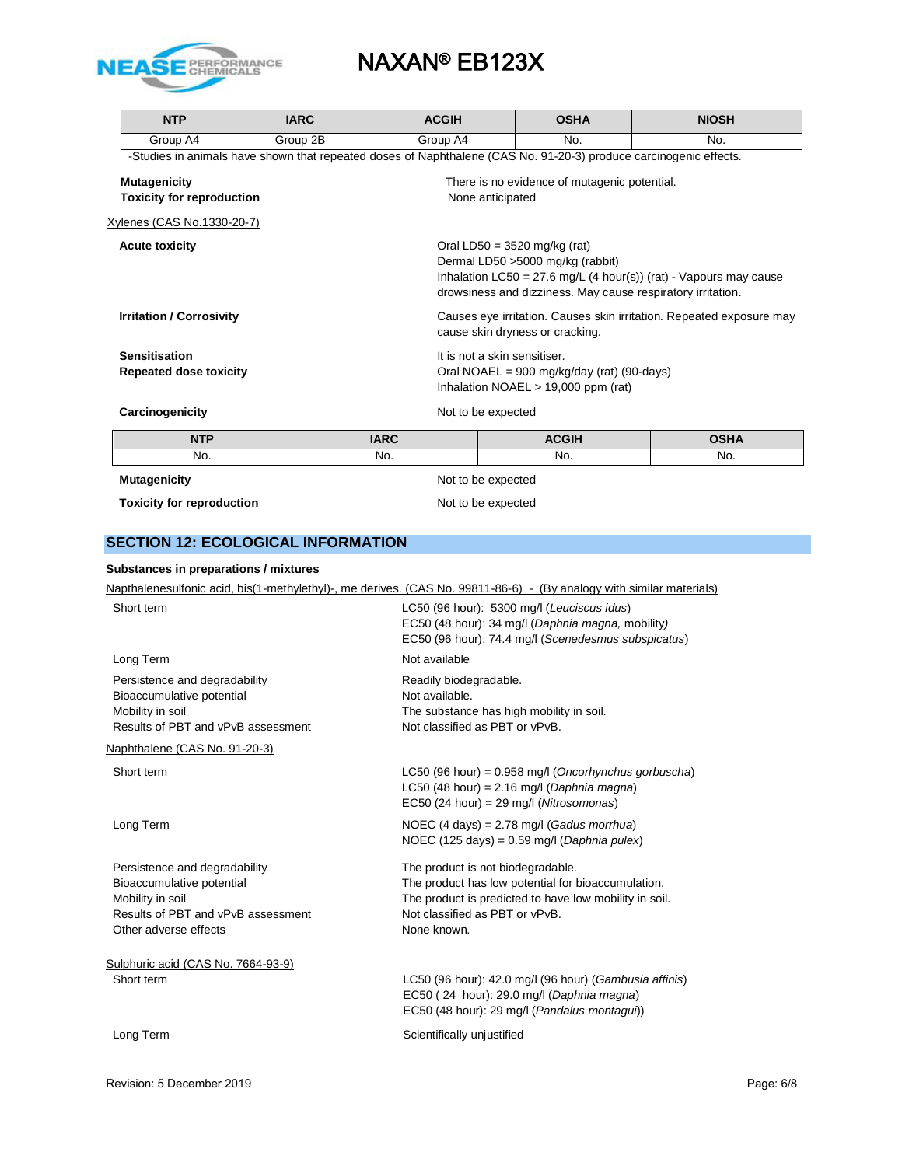

|                                                                                                                   | <b>NTP</b>                                |  | <b>IARC</b> | <b>ACGIH</b>                                                                                                                                                                                                                                |                  | <b>OSHA</b>                                                                                                                                            | <b>NIOSH</b> |
|-------------------------------------------------------------------------------------------------------------------|-------------------------------------------|--|-------------|---------------------------------------------------------------------------------------------------------------------------------------------------------------------------------------------------------------------------------------------|------------------|--------------------------------------------------------------------------------------------------------------------------------------------------------|--------------|
|                                                                                                                   | Group A4                                  |  | Group 2B    | Group A4                                                                                                                                                                                                                                    |                  | No.                                                                                                                                                    | No.          |
|                                                                                                                   |                                           |  |             | -Studies in animals have shown that repeated doses of Naphthalene (CAS No. 91-20-3) produce carcinogenic effects.                                                                                                                           |                  |                                                                                                                                                        |              |
|                                                                                                                   | <b>Mutagenicity</b>                       |  |             |                                                                                                                                                                                                                                             |                  | There is no evidence of mutagenic potential.                                                                                                           |              |
|                                                                                                                   | <b>Toxicity for reproduction</b>          |  |             |                                                                                                                                                                                                                                             | None anticipated |                                                                                                                                                        |              |
|                                                                                                                   | Xylenes (CAS No.1330-20-7)                |  |             |                                                                                                                                                                                                                                             |                  |                                                                                                                                                        |              |
| <b>Acute toxicity</b><br><b>Irritation / Corrosivity</b><br><b>Sensitisation</b><br><b>Repeated dose toxicity</b> |                                           |  |             | Oral LD50 = $3520$ mg/kg (rat)<br>Dermal LD50 >5000 mg/kg (rabbit)<br>Inhalation LC50 = 27.6 mg/L (4 hour(s)) (rat) - Vapours may cause<br>drowsiness and dizziness. May cause respiratory irritation.                                      |                  |                                                                                                                                                        |              |
|                                                                                                                   |                                           |  |             | Causes eye irritation. Causes skin irritation. Repeated exposure may<br>cause skin dryness or cracking.<br>It is not a skin sensitiser.<br>Oral NOAEL = $900 \text{ mg/kg/day}$ (rat) (90-days)<br>Inhalation NOAEL $\geq$ 19,000 ppm (rat) |                  |                                                                                                                                                        |              |
|                                                                                                                   |                                           |  |             |                                                                                                                                                                                                                                             |                  |                                                                                                                                                        |              |
|                                                                                                                   | Carcinogenicity                           |  |             | Not to be expected                                                                                                                                                                                                                          |                  |                                                                                                                                                        |              |
|                                                                                                                   |                                           |  |             |                                                                                                                                                                                                                                             |                  |                                                                                                                                                        |              |
|                                                                                                                   | <b>NTP</b>                                |  |             | <b>IARC</b>                                                                                                                                                                                                                                 |                  | <b>ACGIH</b>                                                                                                                                           | <b>OSHA</b>  |
|                                                                                                                   | No.                                       |  |             | No.                                                                                                                                                                                                                                         |                  | No.                                                                                                                                                    | No.          |
|                                                                                                                   | <b>Mutagenicity</b>                       |  |             | Not to be expected                                                                                                                                                                                                                          |                  |                                                                                                                                                        |              |
|                                                                                                                   | <b>Toxicity for reproduction</b>          |  |             | Not to be expected                                                                                                                                                                                                                          |                  |                                                                                                                                                        |              |
|                                                                                                                   |                                           |  |             |                                                                                                                                                                                                                                             |                  |                                                                                                                                                        |              |
|                                                                                                                   | <b>SECTION 12: ECOLOGICAL INFORMATION</b> |  |             |                                                                                                                                                                                                                                             |                  |                                                                                                                                                        |              |
|                                                                                                                   | Substances in preparations / mixtures     |  |             |                                                                                                                                                                                                                                             |                  |                                                                                                                                                        |              |
|                                                                                                                   |                                           |  |             | Napthalenesulfonic acid, bis(1-methylethyl)-, me derives. (CAS No. 99811-86-6) - (By analogy with similar materials)                                                                                                                        |                  |                                                                                                                                                        |              |
|                                                                                                                   | Short term                                |  |             |                                                                                                                                                                                                                                             |                  | LC50 (96 hour): 5300 mg/l (Leuciscus idus)<br>EC50 (48 hour): 34 mg/l (Daphnia magna, mobility)<br>EC50 (96 hour): 74.4 mg/l (Scenedesmus subspicatus) |              |
|                                                                                                                   | Long Term                                 |  |             | Not available                                                                                                                                                                                                                               |                  |                                                                                                                                                        |              |

Naphthalene (CAS No. 91-20-3)

Short term LC50 (96 hour) = 0.958 mg/l (*Oncorhynchus gorbuscha*)

Long Term NOEC (4 days) = 2.78 mg/l (*Gadus morrhua*)

Persistence and degradability The product is not biodegradable. Bioaccumulative potential The product has low potential for bioaccumulation. Mobility in soil **Mobility** in soil. The product is predicted to have low mobility in soil. Results of PBT and vPvB assessment Not classified as PBT or vPvB. Other adverse effects None known.

Sulphuric acid (CAS No. 7664-93-9) Short term LC50 (96 hour): 42.0 mg/l (96 hour) (*Gambusia affinis*)

EC50 ( 24 hour): 29.0 mg/l (*Daphnia magna*) EC50 (48 hour): 29 mg/l (*Pandalus montagui*))

LC50 (48 hour) = 2.16 mg/l (*Daphnia magna*) EC50 (24 hour) = 29 mg/l (*Nitrosomonas*)

NOEC (125 days) = 0.59 mg/l (*Daphnia pulex*)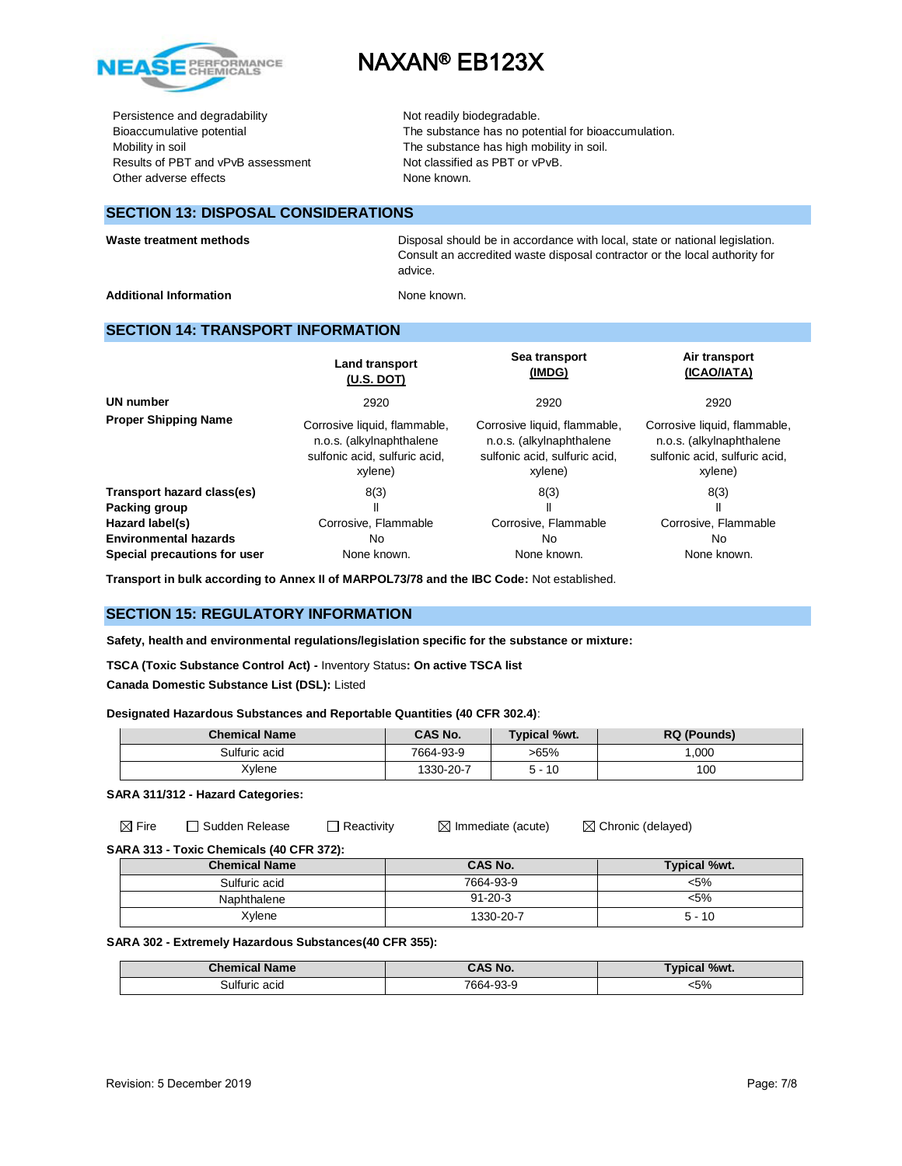

Persistence and degradability Not readily biodegradable. Results of PBT and vPvB assessment Not classified as PBT or vPvB. Other adverse effects None known.

Bioaccumulative potential The substance has no potential for bioaccumulation. Mobility in soil **Mobility** in soil. The substance has high mobility in soil.

### **SECTION 13: DISPOSAL CONSIDERATIONS**

Waste treatment methods **Disposal should be in accordance with local**, state or national legislation. Consult an accredited waste disposal contractor or the local authority for advice.

Additional Information **None known.** None known.

### **SECTION 14: TRANSPORT INFORMATION**

|                              | <b>Land transport</b><br>(U.S. DOT)                                                                  | Sea transport<br>(IMDG)                                                                              | Air transport<br>(ICAO/IATA)                                                                         |
|------------------------------|------------------------------------------------------------------------------------------------------|------------------------------------------------------------------------------------------------------|------------------------------------------------------------------------------------------------------|
| <b>UN number</b>             | 2920                                                                                                 | 2920                                                                                                 | 2920                                                                                                 |
| <b>Proper Shipping Name</b>  | Corrosive liquid, flammable,<br>n.o.s. (alkylnaphthalene<br>sulfonic acid, sulfuric acid,<br>xylene) | Corrosive liquid, flammable,<br>n.o.s. (alkylnaphthalene<br>sulfonic acid, sulfuric acid,<br>xylene) | Corrosive liquid, flammable,<br>n.o.s. (alkylnaphthalene<br>sulfonic acid, sulfuric acid,<br>xylene) |
| Transport hazard class(es)   | 8(3)                                                                                                 | 8(3)                                                                                                 | 8(3)                                                                                                 |
| Packing group                |                                                                                                      | $\mathbf{I}$                                                                                         | $\mathbf{I}$                                                                                         |
| Hazard label(s)              | Corrosive, Flammable                                                                                 | Corrosive, Flammable                                                                                 | Corrosive, Flammable                                                                                 |
| <b>Environmental hazards</b> | No                                                                                                   | No.                                                                                                  | No                                                                                                   |
| Special precautions for user | None known.                                                                                          | None known.                                                                                          | None known.                                                                                          |

**Transport in bulk according to Annex II of MARPOL73/78 and the IBC Code:** Not established.

### **SECTION 15: REGULATORY INFORMATION**

**Safety, health and environmental regulations/legislation specific for the substance or mixture:**

**TSCA (Toxic Substance Control Act) -** Inventory Status**: On active TSCA list**

**Canada Domestic Substance List (DSL):** Listed

### **Designated Hazardous Substances and Reportable Quantities (40 CFR 302.4)**:

| <b>Chemical Name</b> | <b>CAS No.</b> | <b>Typical %wt.</b> | <b>RQ (Pounds)</b> |
|----------------------|----------------|---------------------|--------------------|
| Sulfuric acid        | 7664-93-9      | >65%                | 1.000              |
| Xylene               | 1330-20-7      | 5 - 10              | 100                |

**SARA 311/312 - Hazard Categories:**

 $\boxtimes$  Fire  $\Box$  Sudden Release  $\Box$  Reactivity  $\Box$  Immediate (acute)  $\Box$  Chronic (delayed)

**SARA 313 - Toxic Chemicals (40 CFR 372):** 

| <b>Chemical Name</b> | CAS No.       | Typical %wt. |
|----------------------|---------------|--------------|
| Sulfuric acid        | 7664-93-9     | <5%          |
| Naphthalene          | $91 - 20 - 3$ | <5%          |
| Xylene               | 1330-20-7     | $5 - 10$     |

#### **SARA 302 - Extremely Hazardous Substances(40 CFR 355):**

| <b>Chemical Name</b> | CAS No.   | <b>Typical %wt.</b> |
|----------------------|-----------|---------------------|
| Sulfuric acid        | 7664-93-9 | 5%                  |